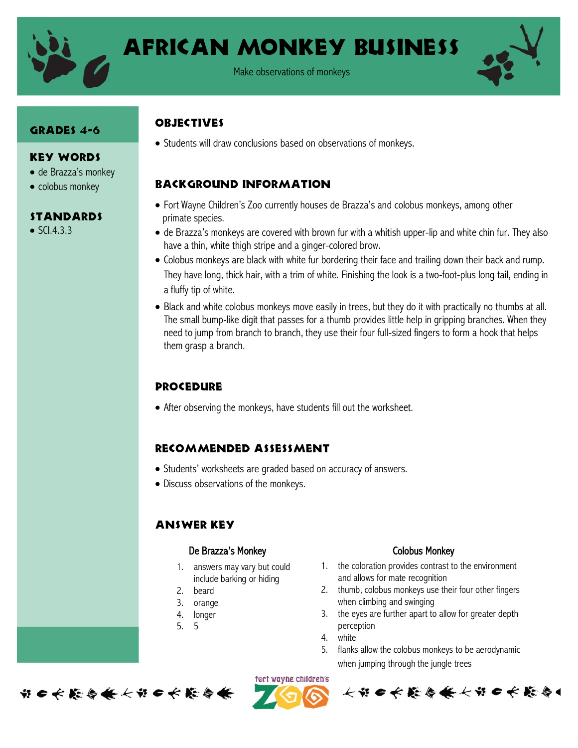

# African Monkey Business

Make observations of monkeys

#### GRADES 4-6

#### Key Words

- de Brazza's monkey
- colobus monkey

#### Standards

 $\bullet$  SCI.4.3.3

### **ORJECTIVES**

• Students will draw conclusions based on observations of monkeys.

### Background information

- Fort Wayne Children's Zoo currently houses de Brazza's and colobus monkeys, among other primate species.
- de Brazza's monkeys are covered with brown fur with a whitish upper-lip and white chin fur. They also have a thin, white thigh stripe and a ginger-colored brow.
- Colobus monkeys are black with white fur bordering their face and trailing down their back and rump. They have long, thick hair, with a trim of white. Finishing the look is a two-foot-plus long tail, ending in a fluffy tip of white.
- Black and white colobus monkeys move easily in trees, but they do it with practically no thumbs at all. The small bump-like digit that passes for a thumb provides little help in gripping branches. When they need to jump from branch to branch, they use their four full-sized fingers to form a hook that helps them grasp a branch.

#### Procedure

After observing the monkeys, have students fill out the worksheet.

#### Recommended assessment

- Students' worksheets are graded based on accuracy of answers.
- Discuss observations of the monkeys.

#### Answer Key

#### De Brazza's Monkey **Colobus Monkey** Colobus Monkey

- 1. answers may vary but could include barking or hiding
- 2. beard
- 3. orange
- 4. longer
- 5. 5

- 1. the coloration provides contrast to the environment and allows for mate recognition
- 2. thumb, colobus monkeys use their four other fingers when climbing and swinging
- 3. the eyes are further apart to allow for greater depth perception
- 4. white
- 5. flanks allow the colobus monkeys to be aerodynamic when jumping through the jungle trees